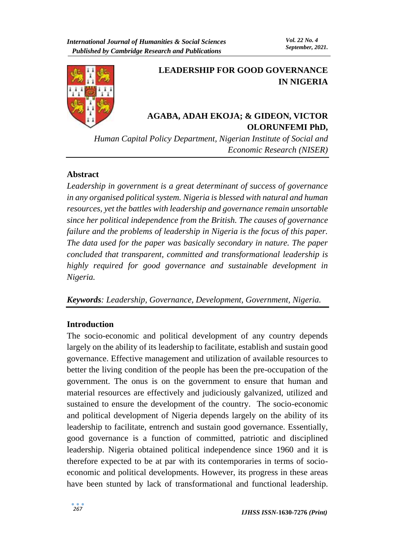

# **LEADERSHIP FOR GOOD GOVERNANCE IN NIGERIA**

## **AGABA, ADAH EKOJA; & GIDEON, VICTOR OLORUNFEMI PhD,**

*Human Capital Policy Department, Nigerian Institute of Social and Economic Research (NISER)*

#### **Abstract**

*Leadership in government is a great determinant of success of governance in any organised political system. Nigeria is blessed with natural and human resources, yet the battles with leadership and governance remain unsortable since her political independence from the British. The causes of governance failure and the problems of leadership in Nigeria is the focus of this paper. The data used for the paper was basically secondary in nature. The paper concluded that transparent, committed and transformational leadership is highly required for good governance and sustainable development in Nigeria.* 

*Keywords: Leadership, Governance, Development, Government, Nigeria.* 

#### **Introduction**

The socio-economic and political development of any country depends largely on the ability of its leadership to facilitate, establish and sustain good governance. Effective management and utilization of available resources to better the living condition of the people has been the pre-occupation of the government. The onus is on the government to ensure that human and material resources are effectively and judiciously galvanized, utilized and sustained to ensure the development of the country. The socio-economic and political development of Nigeria depends largely on the ability of its leadership to facilitate, entrench and sustain good governance. Essentially, good governance is a function of committed, patriotic and disciplined leadership. Nigeria obtained political independence since 1960 and it is therefore expected to be at par with its contemporaries in terms of socioeconomic and political developments. However, its progress in these areas have been stunted by lack of transformational and functional leadership.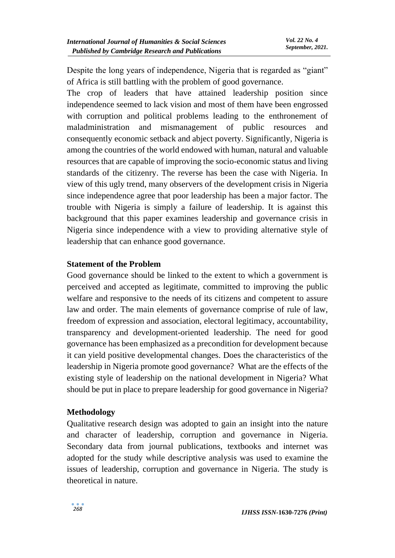Despite the long years of independence, Nigeria that is regarded as "giant" of Africa is still battling with the problem of good governance.

The crop of leaders that have attained leadership position since independence seemed to lack vision and most of them have been engrossed with corruption and political problems leading to the enthronement of maladministration and mismanagement of public resources and consequently economic setback and abject poverty. Significantly, Nigeria is among the countries of the world endowed with human, natural and valuable resources that are capable of improving the socio-economic status and living standards of the citizenry. The reverse has been the case with Nigeria. In view of this ugly trend, many observers of the development crisis in Nigeria since independence agree that poor leadership has been a major factor. The trouble with Nigeria is simply a failure of leadership. It is against this background that this paper examines leadership and governance crisis in Nigeria since independence with a view to providing alternative style of leadership that can enhance good governance.

## **Statement of the Problem**

Good governance should be linked to the extent to which a government is perceived and accepted as legitimate, committed to improving the public welfare and responsive to the needs of its citizens and competent to assure law and order. The main elements of governance comprise of rule of law, freedom of expression and association, electoral legitimacy, accountability, transparency and development-oriented leadership. The need for good governance has been emphasized as a precondition for development because it can yield positive developmental changes. Does the characteristics of the leadership in Nigeria promote good governance? What are the effects of the existing style of leadership on the national development in Nigeria? What should be put in place to prepare leadership for good governance in Nigeria?

#### **Methodology**

Qualitative research design was adopted to gain an insight into the nature and character of leadership, corruption and governance in Nigeria. Secondary data from journal publications, textbooks and internet was adopted for the study while descriptive analysis was used to examine the issues of leadership, corruption and governance in Nigeria. The study is theoretical in nature.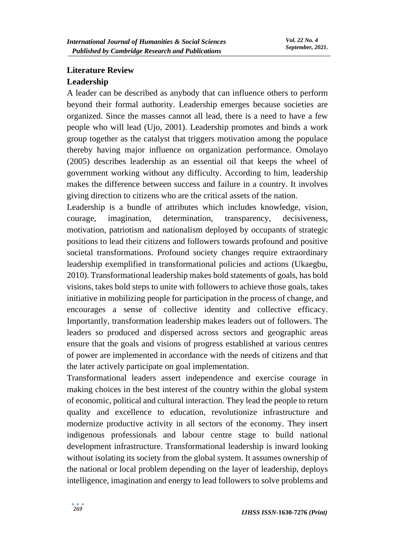## **Literature Review Leadership**

A leader can be described as anybody that can influence others to perform beyond their formal authority. Leadership emerges because societies are organized. Since the masses cannot all lead, there is a need to have a few people who will lead (Ujo, 2001). Leadership promotes and binds a work group together as the catalyst that triggers motivation among the populace thereby having major influence on organization performance. Omolayo (2005) describes leadership as an essential oil that keeps the wheel of government working without any difficulty. According to him, leadership makes the difference between success and failure in a country. It involves giving direction to citizens who are the critical assets of the nation.

Leadership is a bundle of attributes which includes knowledge, vision, courage, imagination, determination, transparency, decisiveness, motivation, patriotism and nationalism deployed by occupants of strategic positions to lead their citizens and followers towards profound and positive societal transformations. Profound society changes require extraordinary leadership exemplified in transformational policies and actions (Ukaegbu, 2010). Transformational leadership makes bold statements of goals, has bold visions, takes bold steps to unite with followers to achieve those goals, takes initiative in mobilizing people for participation in the process of change, and encourages a sense of collective identity and collective efficacy. Importantly, transformation leadership makes leaders out of followers. The leaders so produced and dispersed across sectors and geographic areas ensure that the goals and visions of progress established at various centres of power are implemented in accordance with the needs of citizens and that the later actively participate on goal implementation.

Transformational leaders assert independence and exercise courage in making choices in the best interest of the country within the global system of economic, political and cultural interaction. They lead the people to return quality and excellence to education, revolutionize infrastructure and modernize productive activity in all sectors of the economy. They insert indigenous professionals and labour centre stage to build national development infrastructure. Transformational leadership is inward looking without isolating its society from the global system. It assumes ownership of the national or local problem depending on the layer of leadership, deploys intelligence, imagination and energy to lead followers to solve problems and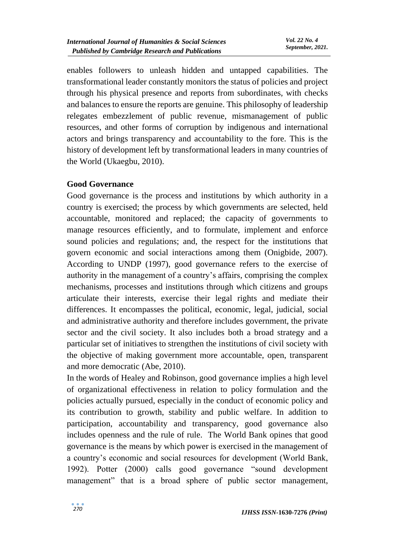enables followers to unleash hidden and untapped capabilities. The transformational leader constantly monitors the status of policies and project through his physical presence and reports from subordinates, with checks and balances to ensure the reports are genuine. This philosophy of leadership relegates embezzlement of public revenue, mismanagement of public resources, and other forms of corruption by indigenous and international actors and brings transparency and accountability to the fore. This is the history of development left by transformational leaders in many countries of the World (Ukaegbu, 2010).

## **Good Governance**

Good governance is the process and institutions by which authority in a country is exercised; the process by which governments are selected, held accountable, monitored and replaced; the capacity of governments to manage resources efficiently, and to formulate, implement and enforce sound policies and regulations; and, the respect for the institutions that govern economic and social interactions among them (Onigbide, 2007). According to UNDP (1997), good governance refers to the exercise of authority in the management of a country's affairs, comprising the complex mechanisms, processes and institutions through which citizens and groups articulate their interests, exercise their legal rights and mediate their differences. It encompasses the political, economic, legal, judicial, social and administrative authority and therefore includes government, the private sector and the civil society. It also includes both a broad strategy and a particular set of initiatives to strengthen the institutions of civil society with the objective of making government more accountable, open, transparent and more democratic (Abe, 2010).

In the words of Healey and Robinson, good governance implies a high level of organizational effectiveness in relation to policy formulation and the policies actually pursued, especially in the conduct of economic policy and its contribution to growth, stability and public welfare. In addition to participation, accountability and transparency, good governance also includes openness and the rule of rule. The World Bank opines that good governance is the means by which power is exercised in the management of a country's economic and social resources for development (World Bank, 1992). Potter (2000) calls good governance "sound development management" that is a broad sphere of public sector management,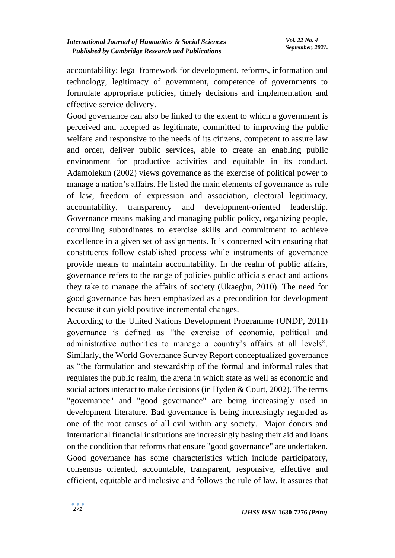accountability; legal framework for development, reforms, information and technology, legitimacy of government, competence of governments to formulate appropriate policies, timely decisions and implementation and effective service delivery.

Good governance can also be linked to the extent to which a government is perceived and accepted as legitimate, committed to improving the public welfare and responsive to the needs of its citizens, competent to assure law and order, deliver public services, able to create an enabling public environment for productive activities and equitable in its conduct. Adamolekun (2002) views governance as the exercise of political power to manage a nation's affairs. He listed the main elements of governance as rule of law, freedom of expression and association, electoral legitimacy, accountability, transparency and development-oriented leadership. Governance means making and managing public policy, organizing people, controlling subordinates to exercise skills and commitment to achieve excellence in a given set of assignments. It is concerned with ensuring that constituents follow established process while instruments of governance provide means to maintain accountability. In the realm of public affairs, governance refers to the range of policies public officials enact and actions they take to manage the affairs of society (Ukaegbu, 2010). The need for good governance has been emphasized as a precondition for development because it can yield positive incremental changes.

According to the United Nations Development Programme (UNDP, 2011) governance is defined as "the exercise of economic, political and administrative authorities to manage a country's affairs at all levels". Similarly, the World Governance Survey Report conceptualized governance as "the formulation and stewardship of the formal and informal rules that regulates the public realm, the arena in which state as well as economic and social actors interact to make decisions (in Hyden & Court, 2002). The terms "governance" and "good governance" are being increasingly used in development literature. Bad governance is being increasingly regarded as one of the root causes of all evil within any society. Major donors and international financial institutions are increasingly basing their aid and loans on the condition that reforms that ensure "good governance" are undertaken. Good governance has some characteristics which include participatory, consensus oriented, accountable, transparent, responsive, effective and efficient, equitable and inclusive and follows the rule of law. It assures that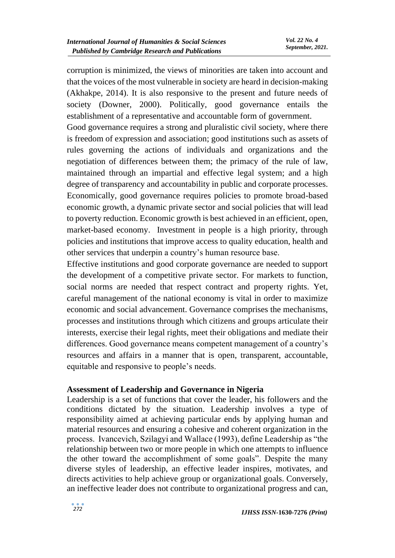corruption is minimized, the views of minorities are taken into account and that the voices of the most vulnerable in society are heard in decision-making (Akhakpe, 2014). It is also responsive to the present and future needs of society (Downer, 2000). Politically, good governance entails the establishment of a representative and accountable form of government.

Good governance requires a strong and pluralistic civil society, where there is freedom of expression and association; good institutions such as assets of rules governing the actions of individuals and organizations and the negotiation of differences between them; the primacy of the rule of law, maintained through an impartial and effective legal system; and a high degree of transparency and accountability in public and corporate processes. Economically, good governance requires policies to promote broad-based economic growth, a dynamic private sector and social policies that will lead to poverty reduction. Economic growth is best achieved in an efficient, open, market-based economy. Investment in people is a high priority, through policies and institutions that improve access to quality education, health and other services that underpin a country's human resource base.

Effective institutions and good corporate governance are needed to support the development of a competitive private sector. For markets to function, social norms are needed that respect contract and property rights. Yet, careful management of the national economy is vital in order to maximize economic and social advancement. Governance comprises the mechanisms, processes and institutions through which citizens and groups articulate their interests, exercise their legal rights, meet their obligations and mediate their differences. Good governance means competent management of a country's resources and affairs in a manner that is open, transparent, accountable, equitable and responsive to people's needs.

#### **Assessment of Leadership and Governance in Nigeria**

Leadership is a set of functions that cover the leader, his followers and the conditions dictated by the situation. Leadership involves a type of responsibility aimed at achieving particular ends by applying human and material resources and ensuring a cohesive and coherent organization in the process. Ivancevich, Szilagyi and Wallace (1993), define Leadership as "the relationship between two or more people in which one attempts to influence the other toward the accomplishment of some goals". Despite the many diverse styles of leadership, an effective leader inspires, motivates, and directs activities to help achieve group or organizational goals. Conversely, an ineffective leader does not contribute to organizational progress and can,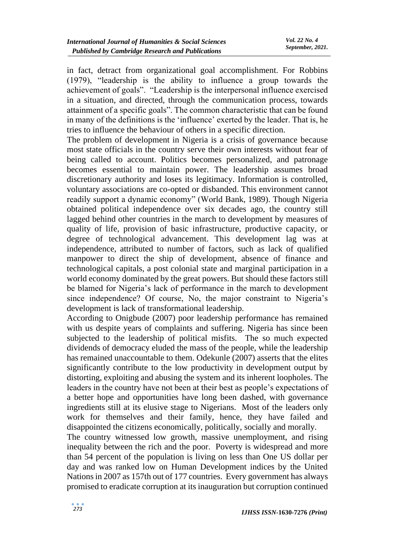in fact, detract from organizational goal accomplishment. For Robbins (1979), "leadership is the ability to influence a group towards the achievement of goals". "Leadership is the interpersonal influence exercised in a situation, and directed, through the communication process, towards attainment of a specific goals". The common characteristic that can be found in many of the definitions is the 'influence' exerted by the leader. That is, he tries to influence the behaviour of others in a specific direction.

The problem of development in Nigeria is a crisis of governance because most state officials in the country serve their own interests without fear of being called to account. Politics becomes personalized, and patronage becomes essential to maintain power. The leadership assumes broad discretionary authority and loses its legitimacy. Information is controlled, voluntary associations are co-opted or disbanded. This environment cannot readily support a dynamic economy" (World Bank, 1989). Though Nigeria obtained political independence over six decades ago, the country still lagged behind other countries in the march to development by measures of quality of life, provision of basic infrastructure, productive capacity, or degree of technological advancement. This development lag was at independence, attributed to number of factors, such as lack of qualified manpower to direct the ship of development, absence of finance and technological capitals, a post colonial state and marginal participation in a world economy dominated by the great powers. But should these factors still be blamed for Nigeria's lack of performance in the march to development since independence? Of course, No, the major constraint to Nigeria's development is lack of transformational leadership.

According to Onigbude (2007) poor leadership performance has remained with us despite years of complaints and suffering. Nigeria has since been subjected to the leadership of political misfits. The so much expected dividends of democracy eluded the mass of the people, while the leadership has remained unaccountable to them. Odekunle (2007) asserts that the elites significantly contribute to the low productivity in development output by distorting, exploiting and abusing the system and its inherent loopholes. The leaders in the country have not been at their best as people's expectations of a better hope and opportunities have long been dashed, with governance ingredients still at its elusive stage to Nigerians. Most of the leaders only work for themselves and their family, hence, they have failed and disappointed the citizens economically, politically, socially and morally.

The country witnessed low growth, massive unemployment, and rising inequality between the rich and the poor. Poverty is widespread and more than 54 percent of the population is living on less than One US dollar per day and was ranked low on Human Development indices by the United Nations in 2007 as 157th out of 177 countries. Every government has always promised to eradicate corruption at its inauguration but corruption continued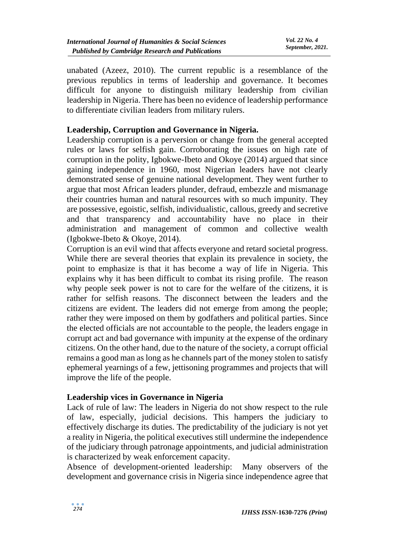unabated (Azeez, 2010). The current republic is a resemblance of the previous republics in terms of leadership and governance. It becomes difficult for anyone to distinguish military leadership from civilian leadership in Nigeria. There has been no evidence of leadership performance to differentiate civilian leaders from military rulers.

### **Leadership, Corruption and Governance in Nigeria.**

Leadership corruption is a perversion or change from the general accepted rules or laws for selfish gain. Corroborating the issues on high rate of corruption in the polity, Igbokwe-Ibeto and Okoye (2014) argued that since gaining independence in 1960, most Nigerian leaders have not clearly demonstrated sense of genuine national development. They went further to argue that most African leaders plunder, defraud, embezzle and mismanage their countries human and natural resources with so much impunity. They are possessive, egoistic, selfish, individualistic, callous, greedy and secretive and that transparency and accountability have no place in their administration and management of common and collective wealth (Igbokwe-Ibeto & Okoye, 2014).

Corruption is an evil wind that affects everyone and retard societal progress. While there are several theories that explain its prevalence in society, the point to emphasize is that it has become a way of life in Nigeria. This explains why it has been difficult to combat its rising profile. The reason why people seek power is not to care for the welfare of the citizens, it is rather for selfish reasons. The disconnect between the leaders and the citizens are evident. The leaders did not emerge from among the people; rather they were imposed on them by godfathers and political parties. Since the elected officials are not accountable to the people, the leaders engage in corrupt act and bad governance with impunity at the expense of the ordinary citizens. On the other hand, due to the nature of the society, a corrupt official remains a good man as long as he channels part of the money stolen to satisfy ephemeral yearnings of a few, jettisoning programmes and projects that will improve the life of the people.

#### **Leadership vices in Governance in Nigeria**

Lack of rule of law: The leaders in Nigeria do not show respect to the rule of law, especially, judicial decisions. This hampers the judiciary to effectively discharge its duties. The predictability of the judiciary is not yet a reality in Nigeria, the political executives still undermine the independence of the judiciary through patronage appointments, and judicial administration is characterized by weak enforcement capacity.

Absence of development-oriented leadership: Many observers of the development and governance crisis in Nigeria since independence agree that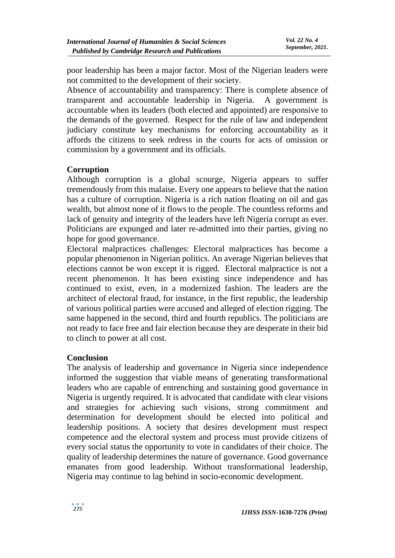poor leadership has been a major factor. Most of the Nigerian leaders were not committed to the development of their society.

Absence of accountability and transparency: There is complete absence of transparent and accountable leadership in Nigeria. A government is accountable when its leaders (both elected and appointed) are responsive to the demands of the governed. Respect for the rule of law and independent judiciary constitute key mechanisms for enforcing accountability as it affords the citizens to seek redress in the courts for acts of omission or commission by a government and its officials.

#### **Corruption**

Although corruption is a global scourge, Nigeria appears to suffer tremendously from this malaise. Every one appears to believe that the nation has a culture of corruption. Nigeria is a rich nation floating on oil and gas wealth, but almost none of it flows to the people. The countless reforms and lack of genuity and integrity of the leaders have left Nigeria corrupt as ever. Politicians are expunged and later re-admitted into their parties, giving no hope for good governance.

Electoral malpractices challenges: Electoral malpractices has become a popular phenomenon in Nigerian politics. An average Nigerian believes that elections cannot be won except it is rigged. Electoral malpractice is not a recent phenomenon. It has been existing since independence and has continued to exist, even, in a modernized fashion. The leaders are the architect of electoral fraud, for instance, in the first republic, the leadership of various political parties were accused and alleged of election rigging. The same happened in the second, third and fourth republics. The politicians are not ready to face free and fair election because they are desperate in their bid to clinch to power at all cost.

#### **Conclusion**

The analysis of leadership and governance in Nigeria since independence informed the suggestion that viable means of generating transformational leaders who are capable of entrenching and sustaining good governance in Nigeria is urgently required. It is advocated that candidate with clear visions and strategies for achieving such visions, strong commitment and determination for development should be elected into political and leadership positions. A society that desires development must respect competence and the electoral system and process must provide citizens of every social status the opportunity to vote in candidates of their choice. The quality of leadership determines the nature of governance. Good governance emanates from good leadership. Without transformational leadership, Nigeria may continue to lag behind in socio-economic development.